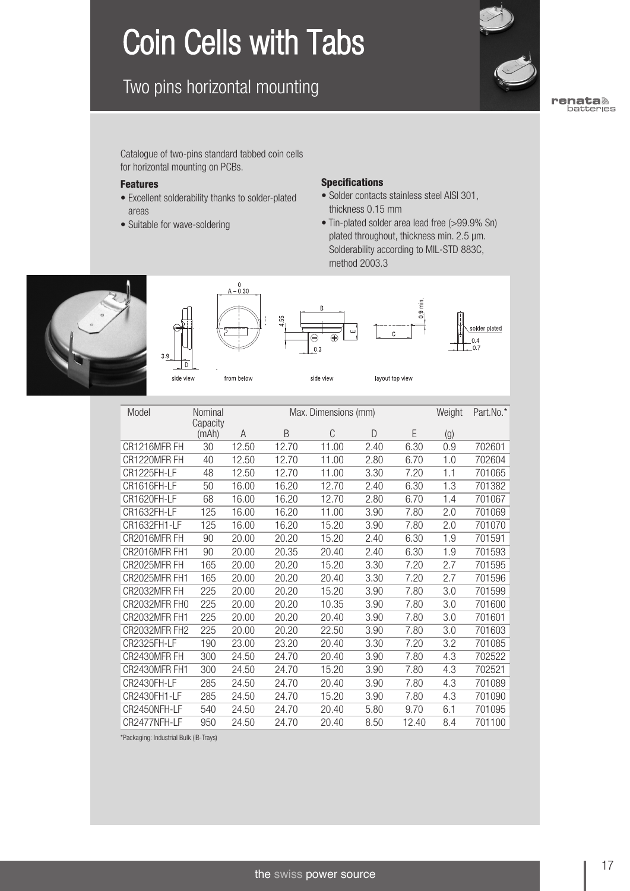## Two pins horizontal mounting



**enatala**<br>batteries

Catalogue of two-pins standard tabbed coin cells for horizontal mounting on PCBs.

### **Features**

- Excellent solderability thanks to solder-plated areas
- Suitable for wave-soldering

### **Specifications**

- Solder contacts stainless steel AISI 301, thickness 0.15 mm
- Tin-plated solder area lead free (>99.9% Sn) plated throughout, thickness min. 2.5 µm. Solderability according to MIL-STD 883C, method 2003.3









 $0.9$  min. solder plated  $04$ 

from below



lavout top view

Model Nominal Max. Dimensions (mm) Weight Part.No.\*<br>Capacity<br>(mAh) A B C D E (g) (mAh) A B C DE (g) CR1216MFR FH 30 12.50 12.70 11.00 2.40 6.30 0.9 702601 CR1220MFR FH 40 12.50 12.70 11.00 2.80 6.70 1.0 702604 CR1225FH-LF 48 12.50 12.70 11.00 3.30 7.20 1.1 701065 CR1616FH-LF 50 16.00 16.20 12.70 2.40 6.30 1.3 701382 CR1620FH-LF 68 16.00 16.20 12.70 2.80 6.70 1.4 701067 CR1632FH-LF 125 16.00 16.20 11.00 3.90 7.80 2.0 701069 CR1632FH1-LF 125 16.00 16.20 15.20 3.90 7.80 2.0 701070 CR2016MFR FH 90 20.00 20.20 15.20 2.40 6.30 1.9 701591 CR2016MFR FH1 90 20.00 20.35 20.40 2.40 6.30 1.9 701593 CR2025MFR FH 165 20.00 20.20 15.20 3.30 7.20 2.7 701595 CR2025MFR FH1 165 20.00 20.20 20.40 3.30 7.20 2.7 701596 CR2032MFR FH 225 20.00 20.20 15.20 3.90 7.80 3.0 701599 CR2032MFR FH0 225 20.00 20.20 10.35 3.90 7.80 3.0 701600 CR2032MFR FH1 225 20.00 20.20 20.40 3.90 7.80 3.0 701601 CR2032MFR FH2 225 20.00 20.20 22.50 3.90 7.80 3.0 701603 CR2325FH-LF 190 23.00 23.20 20.40 3.30 7.20 3.2 701085 CR2430MFR FH 300 24.50 24.70 20.40 3.90 7.80 4.3 702522 CR2430MFR FH1 300 24.50 24.70 15.20 3.90 7.80 4.3 702521 CR2430FH-LF 285 24.50 24.70 20.40 3.90 7.80 4.3 701089 CR2430FH1-LF 285 24.50 24.70 15.20 3.90 7.80 4.3 701090 CR2450NFH-LF 540 24.50 24.70 20.40 5.80 9.70 6.1 701095 CR2477NFH-LF 950 24.50 24.70 20.40 8.50 12.40 8.4 701100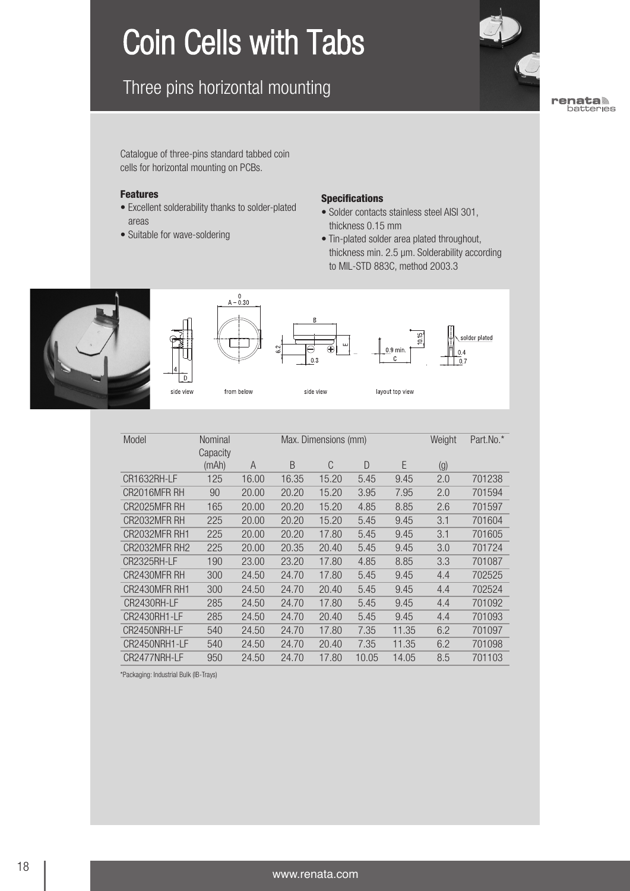## Three pins horizontal mounting



**enatala**<br>batteries

Catalogue of three-pins standard tabbed coin cells for horizontal mounting on PCBs.

### **Features**

• Excellent solderability thanks to solder-plated areas

from below

• Suitable for wave-soldering

#### **Specifications**

- Solder contacts stainless steel AISI 301, thickness 0.15 mm
- Tin-plated solder area plated throughout, thickness min. 2.5 µm. Solderability according to MIL-STD 883C, method 2003.3

solder plated







side view

layout top view

Model **Nominal** Max. Dimensions (mm) Weight Part.No.\* **Capacity**  $(mAh)$  A B C D E (g) CR1632RH-LF 125 16.00 16.35 15.20 5.45 9.45 2.0 701238 CR2016MFR RH 90 20.00 20.20 15.20 3.95 7.95 2.0 701594 CR2025MFR RH 165 20.00 20.20 15.20 4.85 8.85 2.6 701597 CR2032MFR RH 225 20.00 20.20 15.20 5.45 9.45 3.1 701604 CR2032MFR RH1 225 20.00 20.20 17.80 5.45 9.45 3.1 701605 CR2032MFR RH2 225 20.00 20.35 20.40 5.45 9.45 3.0 701724 CR2325RH-LF 190 23.00 23.20 17.80 4.85 8.85 3.3 701087 CR2430MFR RH 300 24.50 24.70 17.80 5.45 9.45 4.4 702525 CR2430MFR RH1 300 24.50 24.70 20.40 5.45 9.45 4.4 702524 CR2430RH-LF 285 24.50 24.70 17.80 5.45 9.45 4.4 701092 CR2430RH1-LF 285 24.50 24.70 20.40 5.45 9.45 4.4 701093 CR2450NRH-LF 540 24.50 24.70 17.80 7.35 11.35 6.2 701097 CR2450NRH1-LF 540 24.50 24.70 20.40 7.35 11.35 6.2 701098 CR2477NRH-LF 950 24.50 24.70 17.80 10.05 14.05 8.5 701103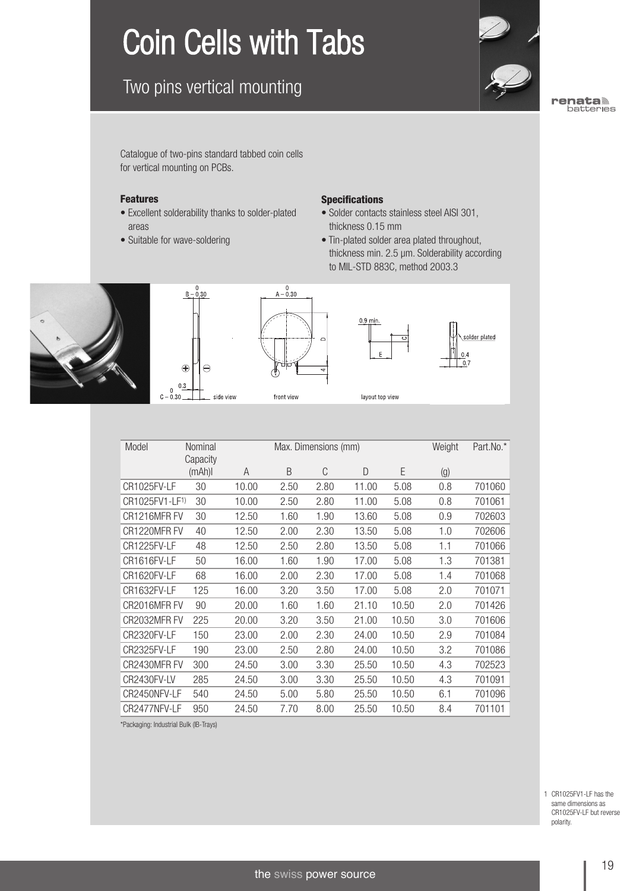## Two pins vertical mounting



**enatail**<br>batteries

Catalogue of two-pins standard tabbed coin cells for vertical mounting on PCBs.

#### **Features**

- Excellent solderability thanks to solder-plated areas
- Suitable for wave-soldering

### **Specifications**

- Solder contacts stainless steel AISI 301, thickness 0.15 mm
- Tin-plated solder area plated throughout, thickness min. 2.5 µm. Solderability according to MIL-STD 883C, method 2003.3









solder plated

| Model              | Nominal           |       |      | Weight | Part.No.* |       |     |        |
|--------------------|-------------------|-------|------|--------|-----------|-------|-----|--------|
|                    | Capacity<br>(mAh) | A     | B    | C      | D         | E     | (g) |        |
| <b>CR1025FV-LF</b> | 30                | 10.00 | 2.50 | 2.80   | 11.00     | 5.08  | 0.8 | 701060 |
| CR1025FV1-IF1)     | 30                | 10.00 | 2.50 | 2.80   | 11.00     | 5.08  | 0.8 | 701061 |
| CR1216MFR FV       | 30                | 12.50 | 1.60 | 1.90   | 13.60     | 5.08  | 0.9 | 702603 |
| CR1220MFR FV       | 40                | 12.50 | 2.00 | 2.30   | 13.50     | 5.08  | 1.0 | 702606 |
| <b>CR1225FV-LF</b> | 48                | 12.50 | 2.50 | 2.80   | 13.50     | 5.08  | 1.1 | 701066 |
| CR1616FV-LF        | 50                | 16.00 | 1.60 | 1.90   | 17.00     | 5.08  | 1.3 | 701381 |
| CR1620FV-LF        | 68                | 16.00 | 2.00 | 2.30   | 17.00     | 5.08  | 1.4 | 701068 |
| CR1632FV-I F       | 125               | 16.00 | 3.20 | 3.50   | 17.00     | 5.08  | 2.0 | 701071 |
| CR2016MFR FV       | 90                | 20.00 | 1.60 | 1.60   | 21.10     | 10.50 | 2.0 | 701426 |
| CR2032MFR FV       | 225               | 20.00 | 3.20 | 3.50   | 21.00     | 10.50 | 3.0 | 701606 |
| CR2320FV-I F       | 150               | 23.00 | 2.00 | 2.30   | 24.00     | 10.50 | 2.9 | 701084 |
| CR2325FV-I F       | 190               | 23.00 | 2.50 | 2.80   | 24.00     | 10.50 | 3.2 | 701086 |
| CR2430MFR FV       | 300               | 24.50 | 3.00 | 3.30   | 25.50     | 10.50 | 4.3 | 702523 |
| CR2430FV-LV        | 285               | 24.50 | 3.00 | 3.30   | 25.50     | 10.50 | 4.3 | 701091 |
| CR2450NFV-I F      | 540               | 24.50 | 5.00 | 5.80   | 25.50     | 10.50 | 6.1 | 701096 |
| CR2477NFV-IF       | 950               | 24.50 | 7.70 | 8.00   | 25.50     | 10.50 | 8.4 | 701101 |

1 CR1025FV1-LF has the same dimensions as CR1025FV-LF but reverse polarity.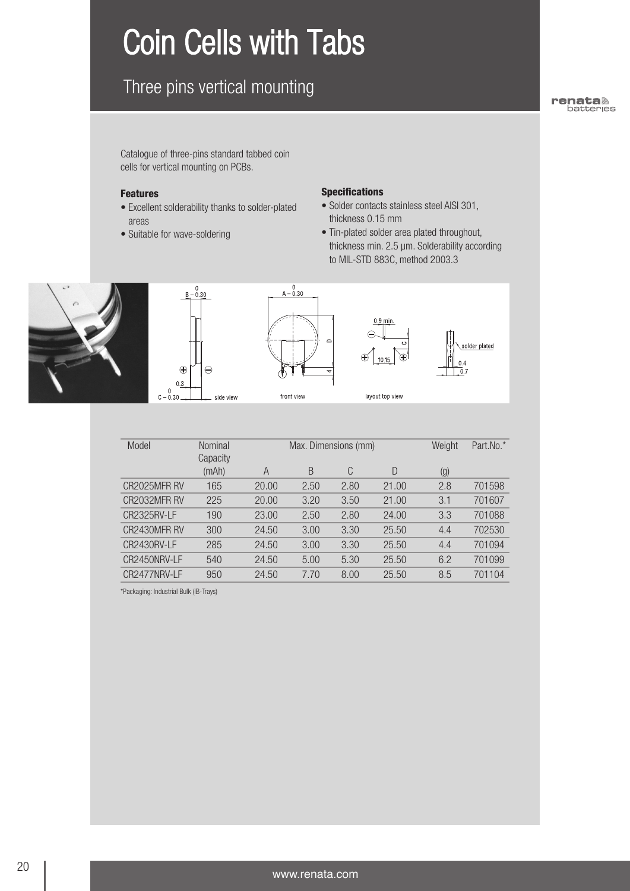## Three pins vertical mounting

**enatala**<br>batteries

Catalogue of three-pins standard tabbed coin cells for vertical mounting on PCBs.

### **Features**

- Excellent solderability thanks to solder-plated areas
- Suitable for wave-soldering

### **Specifications**

- Solder contacts stainless steel AISI 301, thickness 0.15 mm
- Tin-plated solder area plated throughout, thickness min. 2.5 µm. Solderability according to MIL-STD 883C, method 2003.3











layout top view

| Model              | Nominal<br>Capacity |       | Max. Dimensions (mm) | Weight | Part.No.* |     |        |
|--------------------|---------------------|-------|----------------------|--------|-----------|-----|--------|
|                    | (mAh)               | A     | B                    | C      | D         | (g) |        |
| CR2025MFR RV       | 165                 | 20.00 | 2.50                 | 2.80   | 21.00     | 2.8 | 701598 |
| CR2032MFR RV       | 225                 | 20.00 | 3.20                 | 3.50   | 21.00     | 3.1 | 701607 |
| <b>CR2325RV-LF</b> | 190                 | 23.00 | 2.50                 | 2.80   | 24.00     | 3.3 | 701088 |
| CR2430MFR RV       | 300                 | 24.50 | 3.00                 | 3.30   | 25.50     | 4.4 | 702530 |
| <b>CR2430RV-LF</b> | 285                 | 24.50 | 3.00                 | 3.30   | 25.50     | 4.4 | 701094 |
| CR2450NRV-LF       | 540                 | 24.50 | 5.00                 | 5.30   | 25.50     | 6.2 | 701099 |
| CR2477NRV-LF       | 950                 | 24.50 | 7.70                 | 8.00   | 25.50     | 8.5 | 701104 |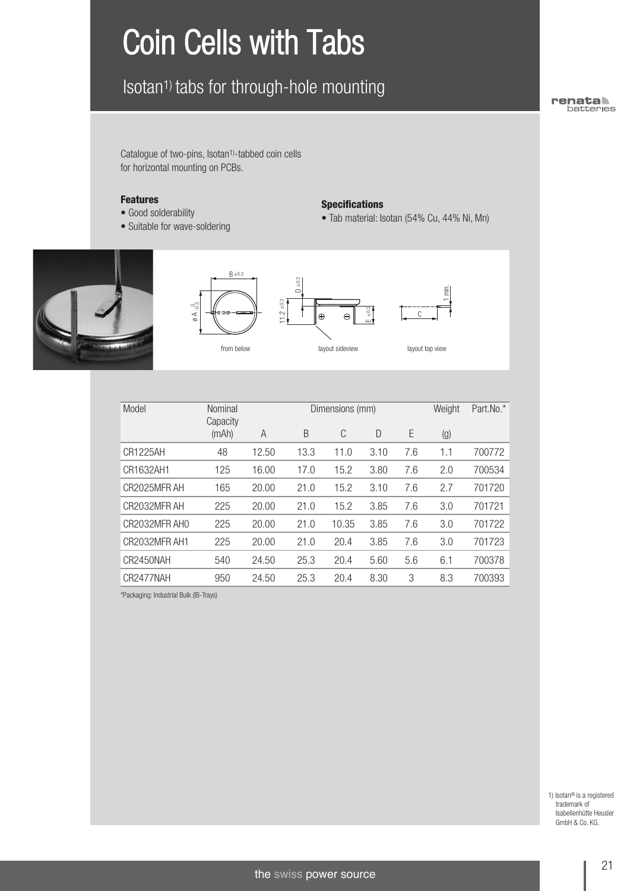## Isotan1) tabs for through-hole mounting

**enatail**<br>batteries

I

Catalogue of two-pins, Isotan<sup>1)</sup>-tabbed coin cells for horizontal mounting on PCBs.

#### **Features**

- Good solderability
- Suitable for wave-soldering

#### **Specifications**

• Tab material: Isotan (54% Cu, 44% Ni, Mn)









 $\mathbf{\tau}$ 

from below layout sideview layout top view

E

±0.3

 $\ominus$ 

| Model           | Nominal<br>Capacity |       |      | Dimensions (mm) | Weight | Part.No.* |     |        |
|-----------------|---------------------|-------|------|-----------------|--------|-----------|-----|--------|
|                 | (mAh)               | A     | B    | C               | D      | Ε         | (g) |        |
| <b>CR1225AH</b> | 48                  | 12.50 | 13.3 | 11.0            | 3.10   | 7.6       | 1.1 | 700772 |
| CR1632AH1       | 125                 | 16.00 | 17.0 | 15.2            | 3.80   | 7.6       | 2.0 | 700534 |
| CR2025MFR AH    | 165                 | 20.00 | 21.0 | 15.2            | 3.10   | 7.6       | 2.7 | 701720 |
| CR2032MFR AH    | 225                 | 20.00 | 21.0 | 15.2            | 3.85   | 7.6       | 3.0 | 701721 |
| CR2032MFR AHO   | 225                 | 20.00 | 21.0 | 10.35           | 3.85   | 7.6       | 3.0 | 701722 |
| CR2032MFR AH1   | 225                 | 20.00 | 21.0 | 20.4            | 3.85   | 7.6       | 3.0 | 701723 |
| CR2450NAH       | 540                 | 24.50 | 25.3 | 20.4            | 5.60   | 5.6       | 6.1 | 700378 |
| CR2477NAH       | 950                 | 24.50 | 25.3 | 20.4            | 8.30   | 3         | 8.3 | 700393 |

\*Packaging: Industrial Bulk (IB-Trays)

1) Isotan® is a registered trademark of Isabellenhütte Heusler GmbH & Co. KG.